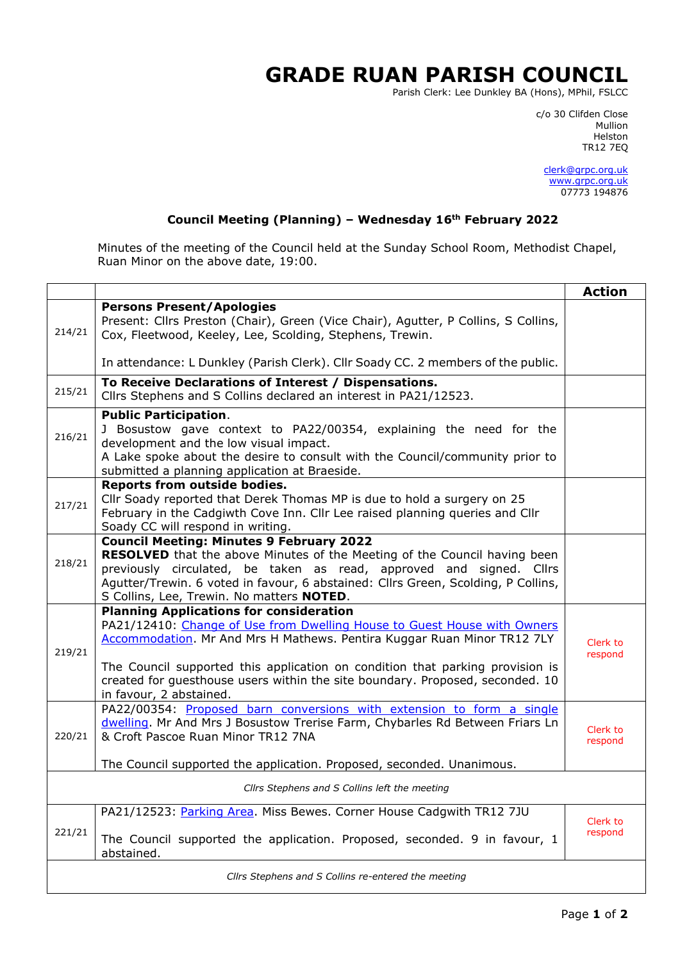## **GRADE RUAN PARISH COUNCIL**

Parish Clerk: Lee Dunkley BA (Hons), MPhil, FSLCC

c/o 30 Clifden Close man and the control of the control of the control of the control of the control of the control of the control o Helston TR12 7EQ

> [clerk@grpc.org.uk](mailto:clerk@grpc.org.uk) [www.grpc.org.uk](http://www.grpc.org.uk/) 07773 194876

## **Council Meeting (Planning) – Wednesday 16th February 2022**

Minutes of the meeting of the Council held at the Sunday School Room, Methodist Chapel, Ruan Minor on the above date, 19:00.

|                                                     |                                                                                                                                                                                                                                                                                                                                                                                                    | <b>Action</b>       |  |
|-----------------------------------------------------|----------------------------------------------------------------------------------------------------------------------------------------------------------------------------------------------------------------------------------------------------------------------------------------------------------------------------------------------------------------------------------------------------|---------------------|--|
| 214/21                                              | <b>Persons Present/Apologies</b><br>Present: Cllrs Preston (Chair), Green (Vice Chair), Agutter, P Collins, S Collins,<br>Cox, Fleetwood, Keeley, Lee, Scolding, Stephens, Trewin.                                                                                                                                                                                                                 |                     |  |
|                                                     | In attendance: L Dunkley (Parish Clerk). Cllr Soady CC. 2 members of the public.                                                                                                                                                                                                                                                                                                                   |                     |  |
| 215/21                                              | To Receive Declarations of Interest / Dispensations.<br>Cllrs Stephens and S Collins declared an interest in PA21/12523.                                                                                                                                                                                                                                                                           |                     |  |
| 216/21                                              | <b>Public Participation.</b><br>J Bosustow gave context to PA22/00354, explaining the need for the<br>development and the low visual impact.<br>A Lake spoke about the desire to consult with the Council/community prior to<br>submitted a planning application at Braeside.                                                                                                                      |                     |  |
| 217/21                                              | <b>Reports from outside bodies.</b><br>Cllr Soady reported that Derek Thomas MP is due to hold a surgery on 25<br>February in the Cadgiwth Cove Inn. Cllr Lee raised planning queries and Cllr<br>Soady CC will respond in writing.                                                                                                                                                                |                     |  |
| 218/21                                              | <b>Council Meeting: Minutes 9 February 2022</b><br>RESOLVED that the above Minutes of the Meeting of the Council having been<br>previously circulated, be taken as read, approved and signed. Cllrs<br>Agutter/Trewin. 6 voted in favour, 6 abstained: Cllrs Green, Scolding, P Collins,<br>S Collins, Lee, Trewin. No matters NOTED.                                                              |                     |  |
| 219/21                                              | <b>Planning Applications for consideration</b><br>PA21/12410: Change of Use from Dwelling House to Guest House with Owners<br>Accommodation. Mr And Mrs H Mathews. Pentira Kuggar Ruan Minor TR12 7LY<br>The Council supported this application on condition that parking provision is<br>created for guesthouse users within the site boundary. Proposed, seconded. 10<br>in favour, 2 abstained. | Clerk to<br>respond |  |
| 220/21                                              | PA22/00354: Proposed barn conversions with extension to form a single<br>dwelling. Mr And Mrs J Bosustow Trerise Farm, Chybarles Rd Between Friars Ln<br>& Croft Pascoe Ruan Minor TR12 7NA<br>The Council supported the application. Proposed, seconded. Unanimous.                                                                                                                               | Clerk to<br>respond |  |
| Cllrs Stephens and S Collins left the meeting       |                                                                                                                                                                                                                                                                                                                                                                                                    |                     |  |
| 221/21                                              | PA21/12523: Parking Area. Miss Bewes. Corner House Cadgwith TR12 7JU<br>The Council supported the application. Proposed, seconded. 9 in favour, 1<br>abstained.                                                                                                                                                                                                                                    | Clerk to<br>respond |  |
| Cllrs Stephens and S Collins re-entered the meeting |                                                                                                                                                                                                                                                                                                                                                                                                    |                     |  |